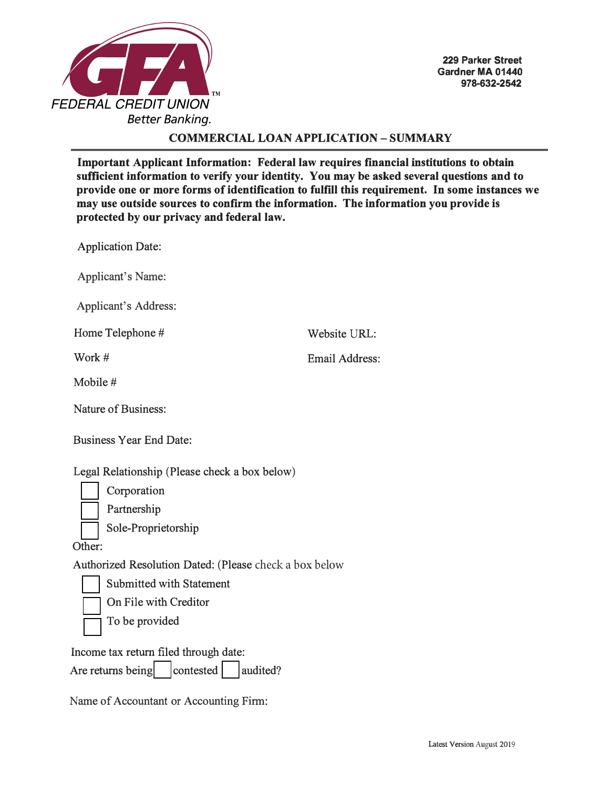

### **COMMERCIAL LOAN APPLICATION - SUMMARY**

**Important Applicant Information: Federal law requires financial institutions to obtain sufficient information to verify your identity. You may be asked several questions and to provide one or more forms of identification to fulfill this requirement. In some instances we may use outside sources to confirm the information. The information you provide is protected by our privacy and federal law.** 

Website URL:

Email Address:

Application Date:

Applicant's Name:

Applicant's Address:

Home Telephone #

Work #

Mobile #

Nature of Business:

| <b>Business Year End Date:</b> |  |  |  |
|--------------------------------|--|--|--|
|--------------------------------|--|--|--|

Legal Relationship (Please check a box below)

Corporation

Partnership

Sole-Proprietorship

Other:

Authorized Resolution Dated: (Please check a box below

Submitted with Statement

On File with Creditor

To be provided

Income tax return filed through date:

Are returns being  $\vert$  contested  $\vert$  audited?

Name of Accountant or Accounting Firm: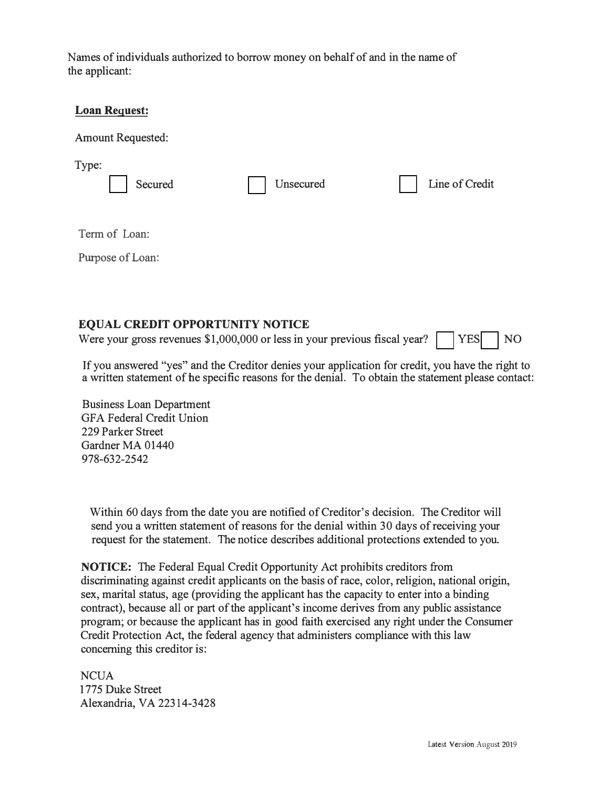Names of individuals authorized to borrow money on behalf of and in the name of the applicant:

| <b>Loan Request:</b>     |           |                |
|--------------------------|-----------|----------------|
| <b>Amount Requested:</b> |           |                |
| Type:<br>Secured         | Unsecured | Line of Credit |
| Term of Loan:            |           |                |
| Purpose of Loan:         |           |                |
|                          |           |                |

### **EQUAL CREDIT OPPORTUNITY NOTICE**

Were your gross revenues  $$1,000,000$  or less in your previous fiscal year?  $\Box$  YES  $\Box$  NO

Ifyou answered "yes" and the Creditor denies your application for credit, you have the right to a written statement of he specific reasons for the denial. To obtain the statement please contact:

Business Loan Department GFA Federal Credit Union 229 Parker Street Gardner MA 01440 978-632-2542

Within 60 days from the date you are notified of Creditor's decision. The Creditor will send you a written statement of reasons for the denial within 30 days of receiving your request for the statement. The notice describes additional protections extended to you.

**NOTICE:** The Federal Equal Credit Opportunity Act prohibits creditors from discriminating against credit applicants on the basis of race, color, religion, national origin, sex, marital status, age (providing the applicant has the capacity to enter into a binding contract), because all or part of the applicant's income derives from any public assistance program; or because the applicant has in good faith exercised any right under the Consumer Credit Protection Act, the federal agency that administers compliance with this law concerning this creditor is:

NCUA 1775 Duke Street Alexandria, VA 22314-3428